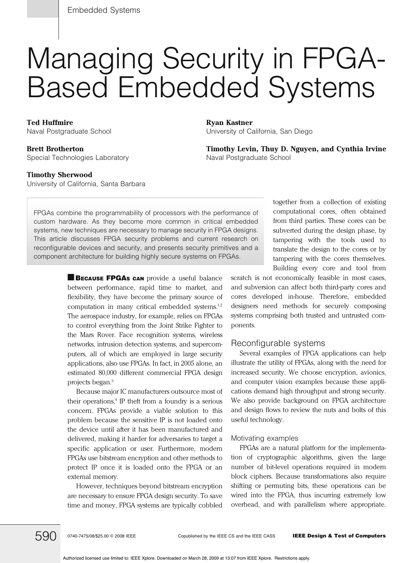# Managing Security in FPGA-Based Embedded Systems

Ted Huffmire Naval Postgraduate School

Brett Brotherton Special Technologies Laboratory Ryan Kastner University of California, San Diego

Timothy Levin, Thuy D. Nguyen, and Cynthia Irvine Naval Postgraduate School

#### Timothy Sherwood

University of California, Santa Barbara

FPGAs combine the programmability of processors with the performance of custom hardware. As they become more common in critical embedded systems, new techniques are necessary to manage security in FPGA designs. This article discusses FPGA security problems and current research on reconfigurable devices and security, and presents security primitives and a component architecture for building highly secure systems on FPGAs.

> **BECAUSE FPGAS CAN** provide a useful balance between performance, rapid time to market, and flexibility, they have become the primary source of computation in many critical embedded systems.<sup>1,2</sup> The aerospace industry, for example, relies on FPGAs to control everything from the Joint Strike Fighter to the Mars Rover. Face recognition systems, wireless networks, intrusion detection systems, and supercomputers, all of which are employed in large security applications, also use FPGAs. In fact, in 2005 alone, an estimated 80,000 different commercial FPGA design projects began.3

> Because major IC manufacturers outsource most of their operations, $4$  IP theft from a foundry is a serious concern. FPGAs provide a viable solution to this problem because the sensitive IP is not loaded onto the device until after it has been manufactured and delivered, making it harder for adversaries to target a specific application or user. Furthermore, modern FPGAs use bitstream encryption and other methods to protect IP once it is loaded onto the FPGA or an external memory.

> However, techniques beyond bitstream encryption are necessary to ensure FPGA design security. To save time and money, FPGA systems are typically cobbled

together from a collection of existing computational cores, often obtained from third parties. These cores can be subverted during the design phase, by tampering with the tools used to translate the design to the cores or by tampering with the cores themselves. Building every core and tool from

scratch is not economically feasible in most cases, and subversion can affect both third-party cores and cores developed in-house. Therefore, embedded designers need methods for securely composing systems comprising both trusted and untrusted components.

# Reconfigurable systems

Several examples of FPGA applications can help illustrate the utility of FPGAs, along with the need for increased security. We choose encryption, avionics, and computer vision examples because these applications demand high throughput and strong security. We also provide background on FPGA architecture and design flows to review the nuts and bolts of this useful technology.

#### Motivating examples

FPGAs are a natural platform for the implementation of cryptographic algorithms, given the large number of bit-level operations required in modern block ciphers. Because transformations also require shifting or permuting bits, these operations can be wired into the FPGA, thus incurring extremely low overhead, and with parallelism where appropriate.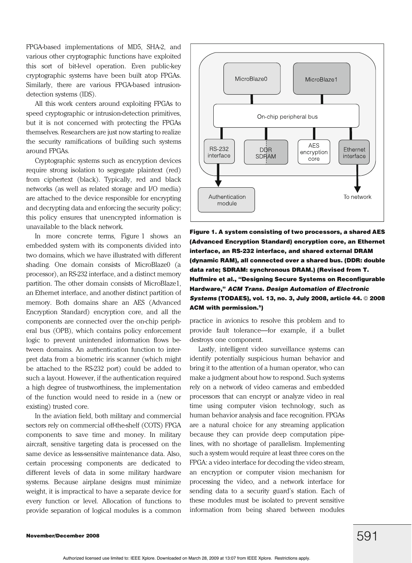FPGA-based implementations of MD5, SHA-2, and various other cryptographic functions have exploited this sort of bit-level operation. Even public-key cryptographic systems have been built atop FPGAs. Similarly, there are various FPGA-based intrusiondetection systems (IDS).

All this work centers around exploiting FPGAs to speed cryptographic or intrusion-detection primitives, but it is not concerned with protecting the FPGAs themselves. Researchers are just now starting to realize the security ramifications of building such systems around FPGAs.

Cryptographic systems such as encryption devices require strong isolation to segregate plaintext (red) from ciphertext (black). Typically, red and black networks (as well as related storage and I/O media) are attached to the device responsible for encrypting and decrypting data and enforcing the security policy; this policy ensures that unencrypted information is unavailable to the black network.

In more concrete terms, Figure 1 shows an embedded system with its components divided into two domains, which we have illustrated with different shading. One domain consists of MicroBlaze0 (a processor), an RS-232 interface, and a distinct memory partition. The other domain consists of MicroBlaze1, an Ethernet interface, and another distinct partition of memory. Both domains share an AES (Advanced Encryption Standard) encryption core, and all the components are connected over the on-chip peripheral bus (OPB), which contains policy enforcement logic to prevent unintended information flows between domains. An authentication function to interpret data from a biometric iris scanner (which might be attached to the RS-232 port) could be added to such a layout. However, if the authentication required a high degree of trustworthiness, the implementation of the function would need to reside in a (new or existing) trusted core.

In the aviation field, both military and commercial sectors rely on commercial off-the-shelf (COTS) FPGA components to save time and money. In military aircraft, sensitive targeting data is processed on the same device as less-sensitive maintenance data. Also, certain processing components are dedicated to different levels of data in some military hardware systems. Because airplane designs must minimize weight, it is impractical to have a separate device for every function or level. Allocation of functions to provide separation of logical modules is a common



Figure 1. A system consisting of two processors, a shared AES (Advanced Encryption Standard) encryption core, an Ethernet interface, an RS-232 interface, and shared external DRAM (dynamic RAM), all connected over a shared bus. (DDR: double data rate; SDRAM: synchronous DRAM.) (Revised from T. Huffmire et al., ''Designing Secure Systems on Reconfigurable Hardware,'' ACM Trans. Design Automation of Electronic Systems (TODAES), vol. 13, no. 3, July 2008, article 44. G 2008 ACM with permission.5)

practice in avionics to resolve this problem and to provide fault tolerance—for example, if a bullet destroys one component.

Lastly, intelligent video surveillance systems can identify potentially suspicious human behavior and bring it to the attention of a human operator, who can make a judgment about how to respond. Such systems rely on a network of video cameras and embedded processors that can encrypt or analyze video in real time using computer vision technology, such as human behavior analysis and face recognition. FPGAs are a natural choice for any streaming application because they can provide deep computation pipelines, with no shortage of parallelism. Implementing such a system would require at least three cores on the FPGA: a video interface for decoding the video stream, an encryption or computer vision mechanism for processing the video, and a network interface for sending data to a security guard's station. Each of these modules must be isolated to prevent sensitive information from being shared between modules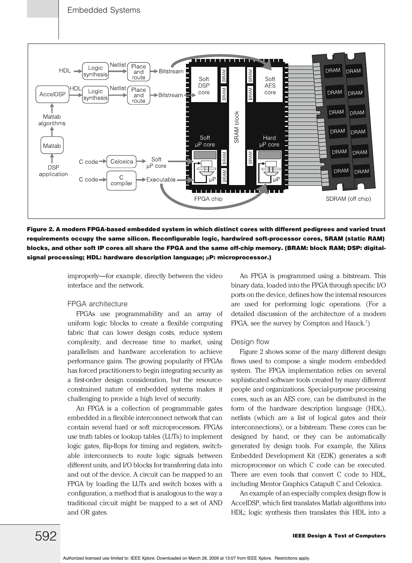

Figure 2. A modern FPGA-based embedded system in which distinct cores with different pedigrees and varied trust requirements occupy the same silicon. Reconfigurable logic, hardwired soft-processor cores, SRAM (static RAM) blocks, and other soft IP cores all share the FPGA and the same off-chip memory. (BRAM: block RAM; DSP: digitalsignal processing; HDL: hardware description language;  $\mu$ P: microprocessor.)

improperly—for example, directly between the video interface and the network.

# FPGA architecture

592

FPGAs use programmability and an array of uniform logic blocks to create a flexible computing fabric that can lower design costs, reduce system complexity, and decrease time to market, using parallelism and hardware acceleration to achieve performance gains. The growing popularity of FPGAs has forced practitioners to begin integrating security as a first-order design consideration, but the resourceconstrained nature of embedded systems makes it challenging to provide a high level of security.

An FPGA is a collection of programmable gates embedded in a flexible interconnect network that can contain several hard or soft microprocessors. FPGAs use truth tables or lookup tables (LUTs) to implement logic gates, flip-flops for timing and registers, switchable interconnects to route logic signals between different units, and I/O blocks for transferring data into and out of the device. A circuit can be mapped to an FPGA by loading the LUTs and switch boxes with a configuration, a method that is analogous to the way a traditional circuit might be mapped to a set of AND and OR gates.

An FPGA is programmed using a bitstream. This binary data, loaded into the FPGA through specific I/O ports on the device, defines how the internal resources are used for performing logic operations. (For a detailed discussion of the architecture of a modern FPGA, see the survey by Compton and Hauck.<sup>1</sup>)

#### Design flow

Figure 2 shows some of the many different design flows used to compose a single modern embedded system. The FPGA implementation relies on several sophisticated software tools created by many different people and organizations. Special-purpose processing cores, such as an AES core, can be distributed in the form of the hardware description language (HDL), netlists (which are a list of logical gates and their interconnections), or a bitstream. These cores can be designed by hand, or they can be automatically generated by design tools. For example, the Xilinx Embedded Development Kit (EDK) generates a soft microprocessor on which C code can be executed. There are even tools that convert C code to HDL, including Mentor Graphics Catapult C and Celoxica.

An example of an especially complex design flow is AccelDSP, which first translates Matlab algorithms into HDL; logic synthesis then translates this HDL into a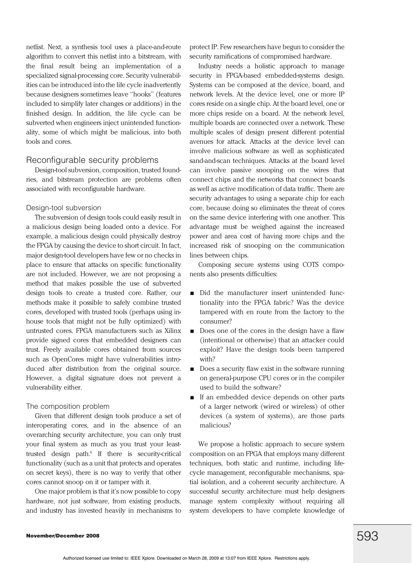netlist. Next, a synthesis tool uses a place-and-route algorithm to convert this netlist into a bitstream, with the final result being an implementation of a specialized signal-processing core. Security vulnerabilities can be introduced into the life cycle inadvertently because designers sometimes leave ''hooks'' (features included to simplify later changes or additions) in the finished design. In addition, the life cycle can be subverted when engineers inject unintended functionality, some of which might be malicious, into both tools and cores.

# Reconfigurable security problems

Design-tool subversion, composition, trusted foundries, and bitstream protection are problems often associated with reconfigurable hardware.

#### Design-tool subversion

The subversion of design tools could easily result in a malicious design being loaded onto a device. For example, a malicious design could physically destroy the FPGA by causing the device to short circuit. In fact, major design-tool developers have few or no checks in place to ensure that attacks on specific functionality are not included. However, we are not proposing a method that makes possible the use of subverted design tools to create a trusted core. Rather, our methods make it possible to safely combine trusted cores, developed with trusted tools (perhaps using inhouse tools that might not be fully optimized) with untrusted cores. FPGA manufacturers such as Xilinx provide signed cores that embedded designers can trust. Freely available cores obtained from sources such as OpenCores might have vulnerabilities introduced after distribution from the original source. However, a digital signature does not prevent a vulnerability either.

#### The composition problem

Given that different design tools produce a set of interoperating cores, and in the absence of an overarching security architecture, you can only trust your final system as much as you trust your leasttrusted design path.<sup>6</sup> If there is security-critical functionality (such as a unit that protects and operates on secret keys), there is no way to verify that other cores cannot snoop on it or tamper with it.

One major problem is that it's now possible to copy hardware, not just software, from existing products, and industry has invested heavily in mechanisms to protect IP. Few researchers have begun to consider the security ramifications of compromised hardware.

Industry needs a holistic approach to manage security in FPGA-based embedded-systems design. Systems can be composed at the device, board, and network levels. At the device level, one or more IP cores reside on a single chip. At the board level, one or more chips reside on a board. At the network level, multiple boards are connected over a network. These multiple scales of design present different potential avenues for attack. Attacks at the device level can involve malicious software as well as sophisticated sand-and-scan techniques. Attacks at the board level can involve passive snooping on the wires that connect chips and the networks that connect boards as well as active modification of data traffic. There are security advantages to using a separate chip for each core, because doing so eliminates the threat of cores on the same device interfering with one another. This advantage must be weighed against the increased power and area cost of having more chips and the increased risk of snooping on the communication lines between chips.

Composing secure systems using COTS components also presents difficulties:

- Did the manufacturer insert unintended functionality into the FPGA fabric? Was the device tampered with en route from the factory to the consumer?
- Does one of the cores in the design have a flaw (intentional or otherwise) that an attacker could exploit? Have the design tools been tampered with?
- Does a security flaw exist in the software running on general-purpose CPU cores or in the compiler used to build the software?
- $\blacksquare$  If an embedded device depends on other parts of a larger network (wired or wireless) of other devices (a system of systems), are those parts malicious?

We propose a holistic approach to secure system composition on an FPGA that employs many different techniques, both static and runtime, including lifecycle management, reconfigurable mechanisms, spatial isolation, and a coherent security architecture. A successful security architecture must help designers manage system complexity without requiring all system developers to have complete knowledge of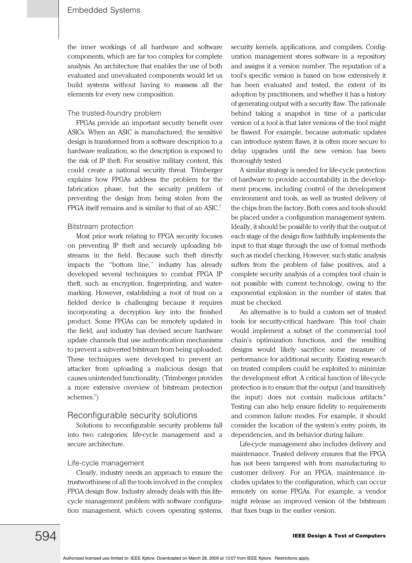the inner workings of all hardware and software components, which are far too complex for complete analysis. An architecture that enables the use of both evaluated and unevaluated components would let us build systems without having to reassess all the elements for every new composition.

#### The trusted-foundry problem

FPGAs provide an important security benefit over ASICs. When an ASIC is manufactured, the sensitive design is transformed from a software description to a hardware realization, so the description is exposed to the risk of IP theft. For sensitive military content, this could create a national security threat. Trimberger explains how FPGAs address the problem for the fabrication phase, but the security problem of preventing the design from being stolen from the FPGA itself remains and is similar to that of an ASIC.7

#### Bitstream protection

Most prior work relating to FPGA security focuses on preventing IP theft and securely uploading bitstreams in the field. Because such theft directly impacts the ''bottom line,'' industry has already developed several techniques to combat FPGA IP theft, such as encryption, fingerprinting, and watermarking. However, establishing a root of trust on a fielded device is challenging because it requires incorporating a decryption key into the finished product. Some FPGAs can be remotely updated in the field, and industry has devised secure hardware update channels that use authentication mechanisms to prevent a subverted bitstream from being uploaded. These techniques were developed to prevent an attacker from uploading a malicious design that causes unintended functionality. (Trimberger provides a more extensive overview of bitstream protection schemes.7 )

# Reconfigurable security solutions

Solutions to reconfigurable security problems fall into two categories: life-cycle management and a secure architecture.

#### Life-cycle management

Clearly, industry needs an approach to ensure the trustworthiness of all the tools involved in the complex FPGA design flow. Industry already deals with this lifecycle management problem with software configuration management, which covers operating systems, security kernels, applications, and compilers. Configuration management stores software in a repository and assigns it a version number. The reputation of a tool's specific version is based on how extensively it has been evaluated and tested, the extent of its adoption by practitioners, and whether it has a history of generating output with a security flaw. The rationale behind taking a snapshot in time of a particular version of a tool is that later versions of the tool might be flawed. For example, because automatic updates can introduce system flaws, it is often more secure to delay upgrades until the new version has been thoroughly tested.

A similar strategy is needed for life-cycle protection of hardware to provide accountability in the development process, including control of the development environment and tools, as well as trusted delivery of the chips from the factory. Both cores and tools should be placed under a configuration management system. Ideally, it should be possible to verify that the output of each stage of the design flow faithfully implements the input to that stage through the use of formal methods such as model checking. However, such static analysis suffers from the problem of false positives, and a complete security analysis of a complex tool chain is not possible with current technology, owing to the exponential explosion in the number of states that must be checked.

An alternative is to build a custom set of trusted tools for security-critical hardware. This tool chain would implement a subset of the commercial tool chain's optimization functions, and the resulting designs would likely sacrifice some measure of performance for additional security. Existing research on trusted compilers could be exploited to minimize the development effort. A critical function of life-cycle protection is to ensure that the output (and transitively the input) does not contain malicious artifacts.<sup>8</sup> Testing can also help ensure fidelity to requirements and common failure modes. For example, it should consider the location of the system's entry points, its dependencies, and its behavior during failure.

Life-cycle management also includes delivery and maintenance. Trusted delivery ensures that the FPGA has not been tampered with from manufacturing to customer delivery. For an FPGA, maintenance includes updates to the configuration, which can occur remotely on some FPGAs. For example, a vendor might release an improved version of the bitstream that fixes bugs in the earlier version.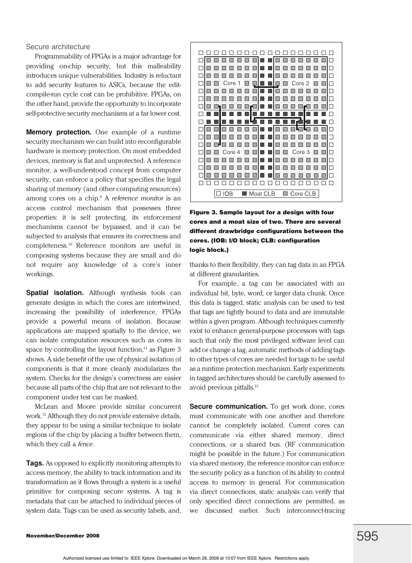#### Secure architecture

Programmability of FPGAs is a major advantage for providing on-chip security, but this malleability introduces unique vulnerabilities. Industry is reluctant to add security features to ASICs, because the editcompile-run cycle cost can be prohibitive. FPGAs, on the other hand, provide the opportunity to incorporate self-protective security mechanisms at a far lower cost.

**Memory protection.** One example of a runtime security mechanism we can build into reconfigurable hardware is memory protection. On most embedded devices, memory is flat and unprotected. A reference monitor, a well-understood concept from computer security, can enforce a policy that specifies the legal sharing of memory (and other computing resources) among cores on a chip.<sup>9</sup> A *reference monitor* is an access control mechanism that possesses three properties: it is self protecting, its enforcement mechanisms cannot be bypassed, and it can be subjected to analysis that ensures its correctness and completeness.10 Reference monitors are useful in composing systems because they are small and do not require any knowledge of a core's inner workings.

Spatial isolation. Although synthesis tools can generate designs in which the cores are intertwined, increasing the possibility of interference, FPGAs provide a powerful means of isolation. Because applications are mapped spatially to the device, we can isolate computation resources such as cores in space by controlling the layout function, $11$  as Figure 3 shows. A side benefit of the use of physical isolation of components is that it more cleanly modularizes the system. Checks for the design's correctness are easier because all parts of the chip that are not relevant to the component under test can be masked.

McLean and Moore provide similar concurrent work.12 Although they do not provide extensive details, they appear to be using a similar technique to isolate regions of the chip by placing a buffer between them, which they call a *fence*.

**Tags.** As opposed to explicitly monitoring attempts to access memory, the ability to track information and its transformation as it flows through a system is a useful primitive for composing secure systems. A tag is metadata that can be attached to individual pieces of system data. Tags can be used as security labels, and,



Figure 3. Sample layout for a design with four cores and a moat size of two. There are several different drawbridge configurations between the cores. (IOB: I/O block; CLB: configuration logic block.)

thanks to their flexibility, they can tag data in an FPGA at different granularities.

For example, a tag can be associated with an individual bit, byte, word, or larger data chunk. Once this data is tagged, static analysis can be used to test that tags are tightly bound to data and are immutable within a given program. Although techniques currently exist to enhance general-purpose processors with tags such that only the most privileged software level can add or change a tag, automatic methods of adding tags to other types of cores are needed for tags to be useful as a runtime protection mechanism. Early experiments in tagged architectures should be carefully assessed to avoid previous pitfalls.13

Secure communication. To get work done, cores must communicate with one another and therefore cannot be completely isolated. Current cores can communicate via either shared memory, direct connections, or a shared bus. (RF communication might be possible in the future.) For communication via shared memory, the reference monitor can enforce the security policy as a function of its ability to control access to memory in general. For communication via direct connections, static analysis can verify that only specified direct connections are permitted, as we discussed earlier. Such interconnect-tracing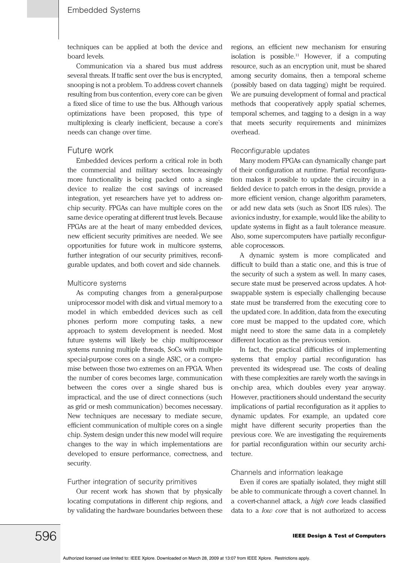techniques can be applied at both the device and board levels.

Communication via a shared bus must address several threats. If traffic sent over the bus is encrypted, snooping is not a problem. To address covert channels resulting from bus contention, every core can be given a fixed slice of time to use the bus. Although various optimizations have been proposed, this type of multiplexing is clearly inefficient, because a core's needs can change over time.

# Future work

Embedded devices perform a critical role in both the commercial and military sectors. Increasingly more functionality is being packed onto a single device to realize the cost savings of increased integration, yet researchers have yet to address onchip security. FPGAs can have multiple cores on the same device operating at different trust levels. Because FPGAs are at the heart of many embedded devices, new efficient security primitives are needed. We see opportunities for future work in multicore systems, further integration of our security primitives, reconfigurable updates, and both covert and side channels.

#### Multicore systems

As computing changes from a general-purpose uniprocessor model with disk and virtual memory to a model in which embedded devices such as cell phones perform more computing tasks, a new approach to system development is needed. Most future systems will likely be chip multiprocessor systems running multiple threads, SoCs with multiple special-purpose cores on a single ASIC, or a compromise between those two extremes on an FPGA. When the number of cores becomes large, communication between the cores over a single shared bus is impractical, and the use of direct connections (such as grid or mesh communication) becomes necessary. New techniques are necessary to mediate secure, efficient communication of multiple cores on a single chip. System design under this new model will require changes to the way in which implementations are developed to ensure performance, correctness, and security.

#### Further integration of security primitives

Our recent work has shown that by physically locating computations in different chip regions, and by validating the hardware boundaries between these regions, an efficient new mechanism for ensuring isolation is possible.<sup>11</sup> However, if a computing resource, such as an encryption unit, must be shared among security domains, then a temporal scheme (possibly based on data tagging) might be required. We are pursuing development of formal and practical methods that cooperatively apply spatial schemes, temporal schemes, and tagging to a design in a way that meets security requirements and minimizes overhead.

# Reconfigurable updates

Many modern FPGAs can dynamically change part of their configuration at runtime. Partial reconfiguration makes it possible to update the circuitry in a fielded device to patch errors in the design, provide a more efficient version, change algorithm parameters, or add new data sets (such as Snort IDS rules). The avionics industry, for example, would like the ability to update systems in flight as a fault tolerance measure. Also, some supercomputers have partially reconfigurable coprocessors.

A dynamic system is more complicated and difficult to build than a static one, and this is true of the security of such a system as well. In many cases, secure state must be preserved across updates. A hotswappable system is especially challenging because state must be transferred from the executing core to the updated core. In addition, data from the executing core must be mapped to the updated core, which might need to store the same data in a completely different location as the previous version.

In fact, the practical difficulties of implementing systems that employ partial reconfiguration has prevented its widespread use. The costs of dealing with these complexities are rarely worth the savings in on-chip area, which doubles every year anyway. However, practitioners should understand the security implications of partial reconfiguration as it applies to dynamic updates. For example, an updated core might have different security properties than the previous core. We are investigating the requirements for partial reconfiguration within our security architecture.

#### Channels and information leakage

Even if cores are spatially isolated, they might still be able to communicate through a covert channel. In a covert-channel attack, a high core leads classified data to a low core that is not authorized to access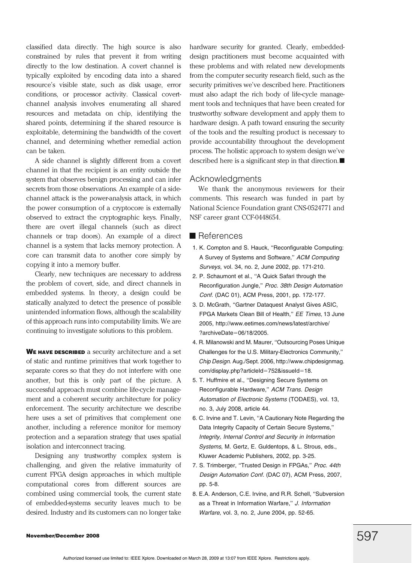classified data directly. The high source is also constrained by rules that prevent it from writing directly to the low destination. A covert channel is typically exploited by encoding data into a shared resource's visible state, such as disk usage, error conditions, or processor activity. Classical covertchannel analysis involves enumerating all shared resources and metadata on chip, identifying the shared points, determining if the shared resource is exploitable, determining the bandwidth of the covert channel, and determining whether remedial action can be taken.

A side channel is slightly different from a covert channel in that the recipient is an entity outside the system that observes benign processing and can infer secrets from those observations. An example of a sidechannel attack is the power-analysis attack, in which the power consumption of a cryptocore is externally observed to extract the cryptographic keys. Finally, there are overt illegal channels (such as direct channels or trap doors). An example of a direct channel is a system that lacks memory protection. A core can transmit data to another core simply by copying it into a memory buffer.

Clearly, new techniques are necessary to address the problem of covert, side, and direct channels in embedded systems. In theory, a design could be statically analyzed to detect the presence of possible unintended information flows, although the scalability of this approach runs into computability limits. We are continuing to investigate solutions to this problem.

WE HAVE DESCRIBED a security architecture and a set of static and runtime primitives that work together to separate cores so that they do not interfere with one another, but this is only part of the picture. A successful approach must combine life-cycle management and a coherent security architecture for policy enforcement. The security architecture we describe here uses a set of primitives that complement one another, including a reference monitor for memory protection and a separation strategy that uses spatial isolation and interconnect tracing.

Designing any trustworthy complex system is challenging, and given the relative immaturity of current FPGA design approaches in which multiple computational cores from different sources are combined using commercial tools, the current state of embedded-systems security leaves much to be desired. Industry and its customers can no longer take hardware security for granted. Clearly, embeddeddesign practitioners must become acquainted with these problems and with related new developments from the computer security research field, such as the security primitives we've described here. Practitioners must also adapt the rich body of life-cycle management tools and techniques that have been created for trustworthy software development and apply them to hardware design. A path toward ensuring the security of the tools and the resulting product is necessary to provide accountability throughout the development process. The holistic approach to system design we've described here is a significant step in that direction. $\blacksquare$ 

# Acknowledgments

We thank the anonymous reviewers for their comments. This research was funded in part by National Science Foundation grant CNS-0524771 and NSF career grant CCF-0448654.

# ■ References

- 1. K. Compton and S. Hauck, ''Reconfigurable Computing: A Survey of Systems and Software,'' ACM Computing Surveys, vol. 34, no. 2, June 2002, pp. 171-210.
- 2. P. Schaumont et al., ''A Quick Safari through the Reconfiguration Jungle,'' Proc. 38th Design Automation Conf. (DAC 01), ACM Press, 2001, pp. 172-177.
- 3. D. McGrath, ''Gartner Dataquest Analyst Gives ASIC, FPGA Markets Clean Bill of Health,'' EE Times, 13 June 2005, http://www.eetimes.com/news/latest/archive/ ?archiveDate=06/18/2005.
- 4. R. Milanowski and M. Maurer, ''Outsourcing Poses Unique Challenges for the U.S. Military-Electronics Community,'' Chip Design. Aug./Sept. 2006, http://www.chipdesignmag. com/display.php?articleId=752&issueId=18.
- 5. T. Huffmire et al., ''Designing Secure Systems on Reconfigurable Hardware,'' ACM Trans. Design Automation of Electronic Systems (TODAES), vol. 13, no. 3, July 2008, article 44.
- 6. C. Irvine and T. Levin, ''A Cautionary Note Regarding the Data Integrity Capacity of Certain Secure Systems,'' Integrity, Internal Control and Security in Information Systems, M. Gertz, E. Guldentops, & L. Strous, eds., Kluwer Academic Publishers, 2002, pp. 3-25.
- 7. S. Trimberger, "Trusted Design in FPGAs," Proc. 44th Design Automation Conf. (DAC 07), ACM Press, 2007, pp. 5-8.
- 8. E.A. Anderson, C.E. Irvine, and R.R. Schell, ''Subversion as a Threat in Information Warfare," J. Information Warfare, vol. 3, no. 2, June 2004, pp. 52-65.

# November/December 2008  $597$